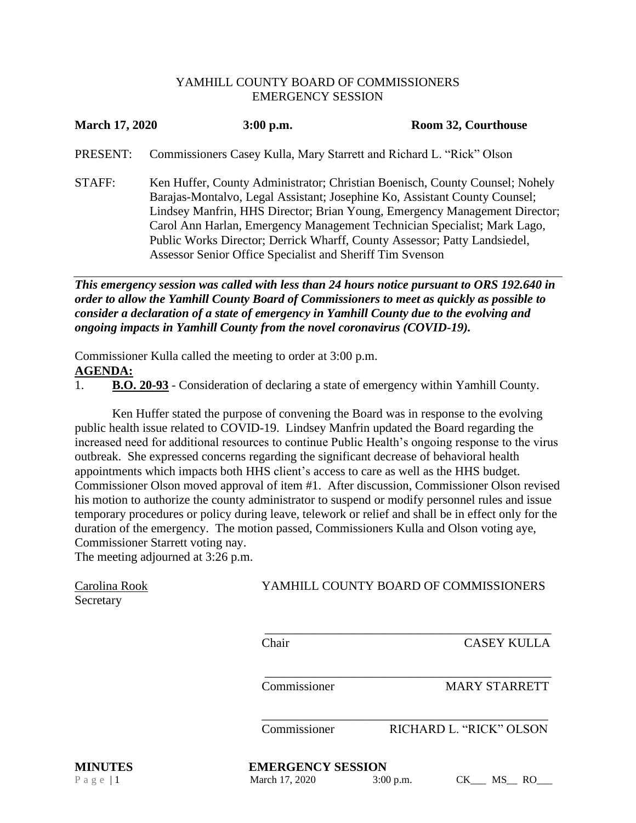## YAMHILL COUNTY BOARD OF COMMISSIONERS EMERGENCY SESSION

| <b>March 17, 2020</b> | $3:00$ p.m.                                                                                                                                                                                                                                                                                                                                                                                                                                                    | Room 32, Courthouse |
|-----------------------|----------------------------------------------------------------------------------------------------------------------------------------------------------------------------------------------------------------------------------------------------------------------------------------------------------------------------------------------------------------------------------------------------------------------------------------------------------------|---------------------|
| PRESENT:              | Commissioners Casey Kulla, Mary Starrett and Richard L. "Rick" Olson                                                                                                                                                                                                                                                                                                                                                                                           |                     |
| STAFF:                | Ken Huffer, County Administrator; Christian Boenisch, County Counsel; Nohely<br>Barajas-Montalvo, Legal Assistant; Josephine Ko, Assistant County Counsel;<br>Lindsey Manfrin, HHS Director; Brian Young, Emergency Management Director;<br>Carol Ann Harlan, Emergency Management Technician Specialist; Mark Lago,<br>Public Works Director; Derrick Wharff, County Assessor; Patty Landsiedel,<br>Assessor Senior Office Specialist and Sheriff Tim Svenson |                     |

*This emergency session was called with less than 24 hours notice pursuant to ORS 192.640 in order to allow the Yamhill County Board of Commissioners to meet as quickly as possible to consider a declaration of a state of emergency in Yamhill County due to the evolving and ongoing impacts in Yamhill County from the novel coronavirus (COVID-19).*

Commissioner Kulla called the meeting to order at 3:00 p.m. **AGENDA:**

1. **B.O. 20-93** - Consideration of declaring a state of emergency within Yamhill County.

Ken Huffer stated the purpose of convening the Board was in response to the evolving public health issue related to COVID-19. Lindsey Manfrin updated the Board regarding the increased need for additional resources to continue Public Health's ongoing response to the virus outbreak. She expressed concerns regarding the significant decrease of behavioral health appointments which impacts both HHS client's access to care as well as the HHS budget. Commissioner Olson moved approval of item #1. After discussion, Commissioner Olson revised his motion to authorize the county administrator to suspend or modify personnel rules and issue temporary procedures or policy during leave, telework or relief and shall be in effect only for the duration of the emergency. The motion passed, Commissioners Kulla and Olson voting aye, Commissioner Starrett voting nay.

The meeting adjourned at 3:26 p.m.

| Carolina Rook<br>Secretary | YAMHILL COUNTY BOARD OF COMMISSIONERS |                                       |
|----------------------------|---------------------------------------|---------------------------------------|
|                            | Chair                                 | <b>CASEY KULLA</b>                    |
|                            | Commissioner                          | <b>MARY STARRETT</b>                  |
|                            | Commissioner                          | RICHARD L. "RICK" OLSON               |
| <b>MINUTES</b>             | <b>EMERGENCY SESSION</b>              |                                       |
| Page $ 1$                  | March 17, 2020                        | CK<br><b>RO</b><br>$3:00$ p.m.<br>MS. |